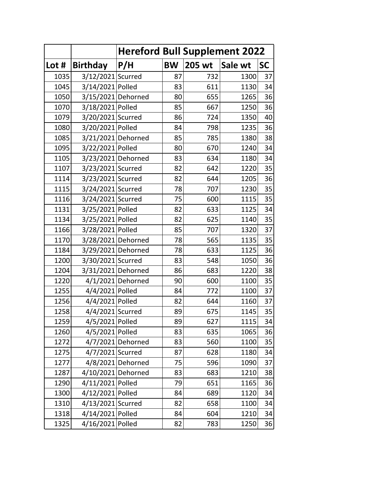|       |                    |                   | <b>Hereford Bull Supplement 2022</b> |                |      |           |  |  |  |
|-------|--------------------|-------------------|--------------------------------------|----------------|------|-----------|--|--|--|
| Lot # | <b>Birthday</b>    | P/H               | <b>BW</b>                            | 205 wt Sale wt |      | <b>SC</b> |  |  |  |
| 1035  | 3/12/2021 Scurred  |                   | 87                                   | 732            | 1300 | 37        |  |  |  |
| 1045  | 3/14/2021 Polled   |                   | 83                                   | 611            | 1130 | 34        |  |  |  |
| 1050  | 3/15/2021 Dehorned |                   | 80                                   | 655            | 1265 | 36        |  |  |  |
| 1070  | 3/18/2021 Polled   |                   | 85                                   | 667            | 1250 | 36        |  |  |  |
| 1079  | 3/20/2021 Scurred  |                   | 86                                   | 724            | 1350 | 40        |  |  |  |
| 1080  | 3/20/2021 Polled   |                   | 84                                   | 798            | 1235 | 36        |  |  |  |
| 1085  | 3/21/2021 Dehorned |                   | 85                                   | 785            | 1380 | 38        |  |  |  |
| 1095  | 3/22/2021 Polled   |                   | 80                                   | 670            | 1240 | 34        |  |  |  |
| 1105  | 3/23/2021 Dehorned |                   | 83                                   | 634            | 1180 | 34        |  |  |  |
| 1107  | 3/23/2021 Scurred  |                   | 82                                   | 642            | 1220 | 35        |  |  |  |
| 1114  | 3/23/2021 Scurred  |                   | 82                                   | 644            | 1205 | 36        |  |  |  |
| 1115  | 3/24/2021 Scurred  |                   | 78                                   | 707            | 1230 | 35        |  |  |  |
| 1116  | 3/24/2021 Scurred  |                   | 75                                   | 600            | 1115 | 35        |  |  |  |
| 1131  | 3/25/2021 Polled   |                   | 82                                   | 633            | 1125 | 34        |  |  |  |
| 1134  | 3/25/2021 Polled   |                   | 82                                   | 625            | 1140 | 35        |  |  |  |
| 1166  | 3/28/2021 Polled   |                   | 85                                   | 707            | 1320 | 37        |  |  |  |
| 1170  | 3/28/2021 Dehorned |                   | 78                                   | 565            | 1135 | 35        |  |  |  |
| 1184  | 3/29/2021 Dehorned |                   | 78                                   | 633            | 1125 | 36        |  |  |  |
| 1200  | 3/30/2021 Scurred  |                   | 83                                   | 548            | 1050 | 36        |  |  |  |
| 1204  | 3/31/2021 Dehorned |                   | 86                                   | 683            | 1220 | 38        |  |  |  |
| 1220  |                    | 4/1/2021 Dehorned | 90                                   | 600            | 1100 | 35        |  |  |  |
| 1255  | 4/4/2021 Polled    |                   | 84                                   | 772            | 1100 | 37        |  |  |  |
| 1256  | 4/4/2021 Polled    |                   | 82                                   | 644            | 1160 | 37        |  |  |  |
| 1258  | 4/4/2021 Scurred   |                   | 89                                   | 675            | 1145 | 35        |  |  |  |
| 1259  | 4/5/2021 Polled    |                   | 89                                   | 627            | 1115 | 34        |  |  |  |
| 1260  | 4/5/2021 Polled    |                   | 83                                   | 635            | 1065 | 36        |  |  |  |
| 1272  |                    | 4/7/2021 Dehorned | 83                                   | 560            | 1100 | 35        |  |  |  |
| 1275  | 4/7/2021 Scurred   |                   | 87                                   | 628            | 1180 | 34        |  |  |  |
| 1277  |                    | 4/8/2021 Dehorned | 75                                   | 596            | 1090 | 37        |  |  |  |
| 1287  | 4/10/2021 Dehorned |                   | 83                                   | 683            | 1210 | 38        |  |  |  |
| 1290  | 4/11/2021 Polled   |                   | 79                                   | 651            | 1165 | 36        |  |  |  |
| 1300  | 4/12/2021 Polled   |                   | 84                                   | 689            | 1120 | 34        |  |  |  |
| 1310  | 4/13/2021 Scurred  |                   | 82                                   | 658            | 1100 | 34        |  |  |  |
| 1318  | 4/14/2021 Polled   |                   | 84                                   | 604            | 1210 | 34        |  |  |  |
| 1325  | 4/16/2021 Polled   |                   | 82                                   | 783            | 1250 | 36        |  |  |  |